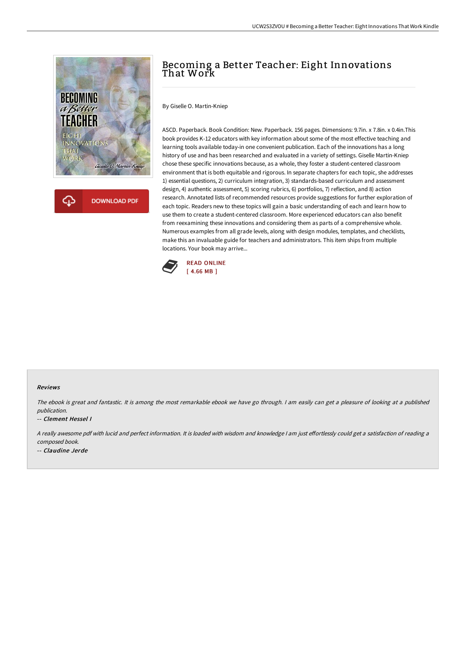

**DOWNLOAD PDF** 

Ω

# Becoming a Better Teacher: Eight Innovations That Work

By Giselle O. Martin-Kniep

ASCD. Paperback. Book Condition: New. Paperback. 156 pages. Dimensions: 9.7in. x 7.8in. x 0.4in.This book provides K-12 educators with key information about some of the most effective teaching and learning tools available today-in one convenient publication. Each of the innovations has a long history of use and has been researched and evaluated in a variety of settings. Giselle Martin-Kniep chose these specific innovations because, as a whole, they foster a student-centered classroom environment that is both equitable and rigorous. In separate chapters for each topic, she addresses 1) essential questions, 2) curriculum integration, 3) standards-based curriculum and assessment design, 4) authentic assessment, 5) scoring rubrics, 6) portfolios, 7) reflection, and 8) action research. Annotated lists of recommended resources provide suggestions for further exploration of each topic. Readers new to these topics will gain a basic understanding of each and learn how to use them to create a student-centered classroom. More experienced educators can also benefit from reexamining these innovations and considering them as parts of a comprehensive whole. Numerous examples from all grade levels, along with design modules, templates, and checklists, make this an invaluable guide for teachers and administrators. This item ships from multiple locations. Your book may arrive...



#### Reviews

The ebook is great and fantastic. It is among the most remarkable ebook we have go through. <sup>I</sup> am easily can get <sup>a</sup> pleasure of looking at <sup>a</sup> published publication.

-- Clement Hessel I

A really awesome pdf with lucid and perfect information. It is loaded with wisdom and knowledge I am just effortlessly could get a satisfaction of reading a composed book. -- Claudine Jerde